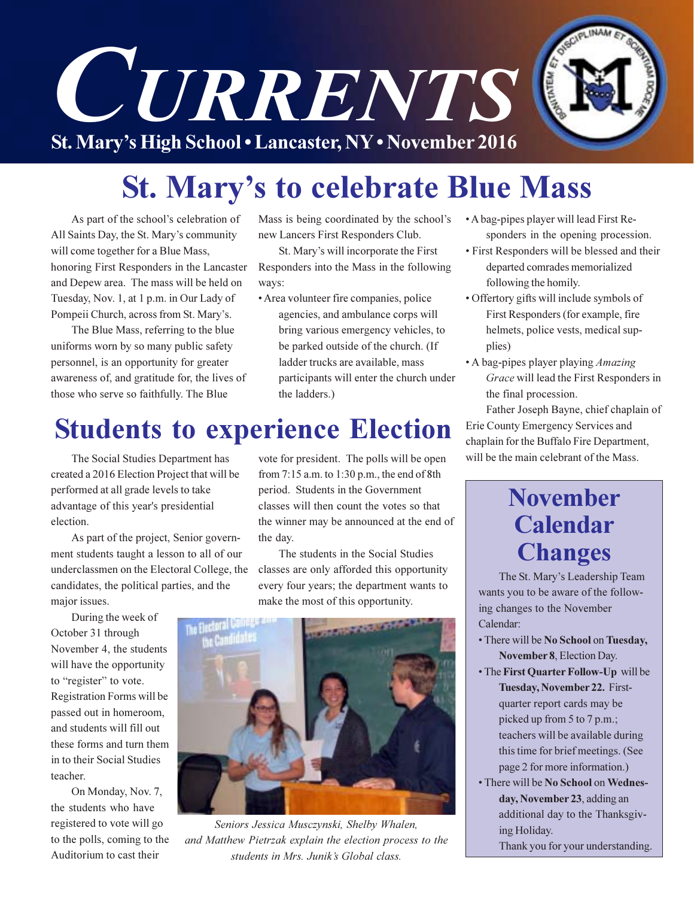

# **St. Mary's to celebrate Blue Mass**

As part of the school's celebration of All Saints Day, the St. Mary's community will come together for a Blue Mass, honoring First Responders in the Lancaster and Depew area. The mass will be held on Tuesday, Nov. 1, at 1 p.m. in Our Lady of Pompeii Church, across from St. Mary's.

The Blue Mass, referring to the blue uniforms worn by so many public safety personnel, is an opportunity for greater awareness of, and gratitude for, the lives of those who serve so faithfully. The Blue

Mass is being coordinated by the school's new Lancers First Responders Club.

St. Mary's will incorporate the First Responders into the Mass in the following ways:

• Area volunteer fire companies, police

agencies, and ambulance corps will bring various emergency vehicles, to be parked outside of the church. (If ladder trucks are available, mass participants will enter the church under the ladders.)

# **Students to experience Election**

The Social Studies Department has created a 2016 Election Project that will be performed at all grade levels to take advantage of this year's presidential election.

As part of the project, Senior government students taught a lesson to all of our underclassmen on the Electoral College, the candidates, the political parties, and the major issues.

During the week of October 31 through November 4, the students will have the opportunity to "register" to vote. Registration Forms will be passed out in homeroom, and students will fill out these forms and turn them in to their Social Studies teacher.

On Monday, Nov. 7, the students who have registered to vote will go to the polls, coming to the Auditorium to cast their

vote for president. The polls will be open from 7:15 a.m. to 1:30 p.m., the end of 8th period. Students in the Government classes will then count the votes so that the winner may be announced at the end of the day.

The students in the Social Studies classes are only afforded this opportunity every four years; the department wants to make the most of this opportunity.



Seniors Jessica Musczynski, Shelby Whalen, and Matthew Pietrzak explain the election process to the students in Mrs. Junik's Global class.

- A bag-pipes player will lead First Responders in the opening procession.
- First Responders will be blessed and their departed comrades memorialized following the homily.
- Offertory gifts will include symbols of First Responders (for example, fire helmets, police vests, medical supplies)
- A bag-pipes player playing *Amazing* Grace will lead the First Responders in the final procession.

Father Joseph Bayne, chief chaplain of Erie County Emergency Services and chaplain for the Buffalo Fire Department, will be the main celebrant of the Mass.

### **November** Calendar **Changes**

The St. Mary's Leadership Team wants you to be aware of the following changes to the November Calendar:

- There will be No School on Tuesday, November 8, Election Day.
- The First Quarter Follow-Up will be Tuesday, November 22. Firstquarter report cards may be picked up from 5 to 7 p.m.; teachers will be available during this time for brief meetings. (See page 2 for more information.)
- There will be No School on Wednesday, November 23, adding an additional day to the Thanksgiving Holiday.

Thank you for your understanding.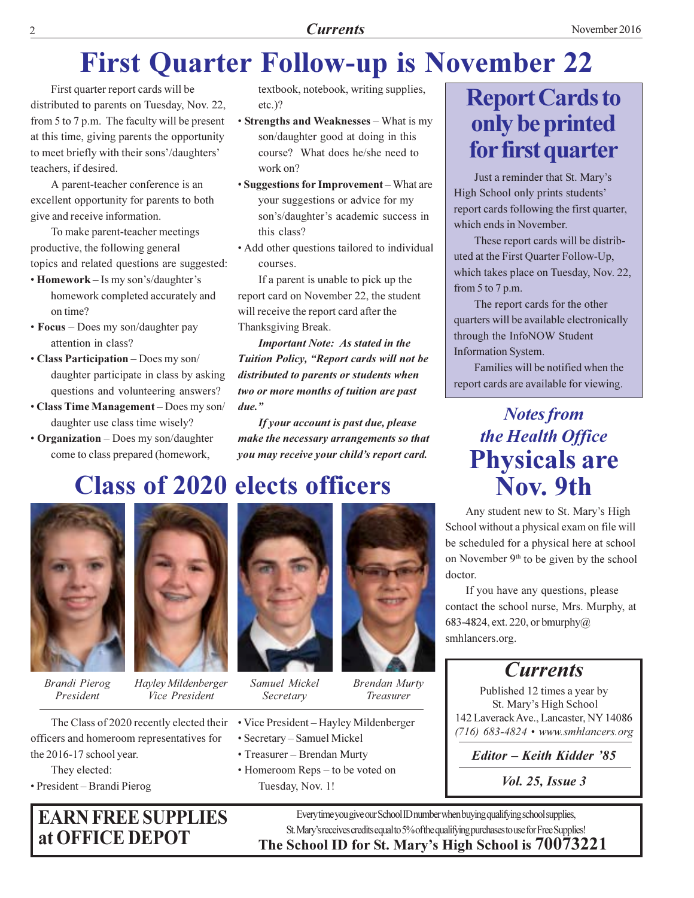#### **Currents**

# **First Quarter Follow-up is November 22**

First quarter report cards will be distributed to parents on Tuesday, Nov. 22, from 5 to 7 p.m. The faculty will be present at this time, giving parents the opportunity to meet briefly with their sons'/daughters' teachers, if desired.

A parent-teacher conference is an excellent opportunity for parents to both give and receive information.

To make parent-teacher meetings productive, the following general topics and related questions are suggested:

- Homework Is my son's/daughter's homework completed accurately and on time?
- Focus Does my son/daughter pay attention in class?
- Class Participation Does my son/ daughter participate in class by asking questions and volunteering answers?
- Class Time Management Does my son/ daughter use class time wisely?
- Organization Does my son/daughter come to class prepared (homework,

textbook, notebook, writing supplies,  $etc.$ )?

- Strengths and Weaknesses What is my son/daughter good at doing in this course? What does he/she need to work on?
- Suggestions for Improvement What are your suggestions or advice for my son's/daughter's academic success in this class?
- Add other questions tailored to individual courses.

If a parent is unable to pick up the report card on November 22, the student will receive the report card after the Thanksgiving Break.

**Important Note: As stated in the** Tuition Policy, "Report cards will not be distributed to parents or students when two or more months of tuition are past due."

If your account is past due, please make the necessary arrangements so that you may receive your child's report card.

# **Class of 2020 elects officers**



**Brandi Pierog** President



Hayley Mildenberger Vice President

The Class of 2020 recently elected their officers and homeroom representatives for the 2016-17 school year.

They elected:

• President – Brandi Pierog

### **EARN FREE SUPPLIES** at OFFICE DEPOT



Samuel Mickel Secretary

- Vice President Hayley Mildenberger
- · Secretary Samuel Mickel
- Treasurer Brendan Murty
- Homeroom Reps to be voted on Tuesday, Nov. 1!



- **Brendan Murty** Treasurer
- 
- 
- -

# **Report Cards to** only be printed for first quarter

Just a reminder that St. Mary's High School only prints students' report cards following the first quarter, which ends in November.

These report cards will be distributed at the First Quarter Follow-Up, which takes place on Tuesday, Nov. 22, from  $5$  to  $7$  p.m.

The report cards for the other quarters will be available electronically through the InfoNOW Student **Information System.** 

Families will be notified when the report cards are available for viewing.

### **Notes from** the Health Office **Physicals are** Nov. 9th

Any student new to St. Mary's High School without a physical exam on file will be scheduled for a physical here at school on November 9<sup>th</sup> to be given by the school doctor.

If you have any questions, please contact the school nurse, Mrs. Murphy, at 683-4824, ext. 220, or bmurphy $@$ smhlancers.org.

#### **Currents**

Published 12 times a year by St. Mary's High School 142 Laverack Ave., Lancaster, NY 14086  $(716)$  683-4824 • www.smhlancers.org

Editor - Keith Kidder '85

*Vol. 25, Issue 3* 

Every time you give our School ID number when buying qualifying school supplies, St. Mary's receives credits equal to 5% of the qualifying purchases to use for Free Supplies! The School ID for St. Mary's High School is 70073221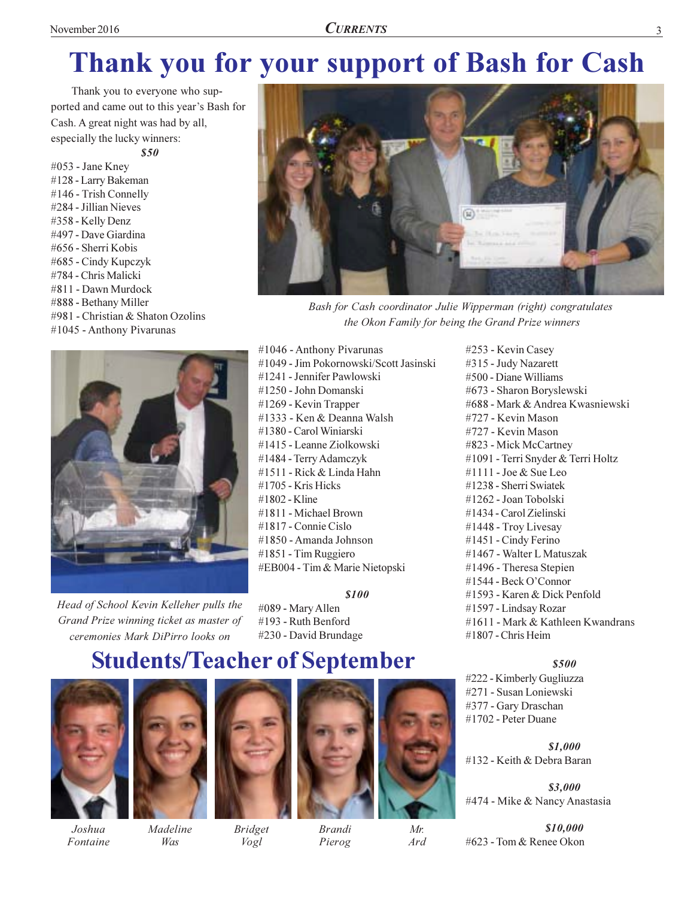# Thank you for your support of Bash for Cash

Thank you to everyone who supported and came out to this year's Bash for Cash. A great night was had by all, especially the lucky winners:  $$50$ 

#053 - Jane Kney #128 - Larry Bakeman #146 - Trish Connelly #284 - Jillian Nieves #358 - Kelly Denz #497 - Dave Giardina #656 - Sherri Kobis #685 - Cindy Kupczyk #784 - Chris Malicki #811 - Dawn Murdock #888 - Bethany Miller #981 - Christian & Shaton Ozolins #1045 - Anthony Pivarunas



Head of School Kevin Kelleher pulls the Grand Prize winning ticket as master of ceremonies Mark DiPirro looks on



Bash for Cash coordinator Julie Wipperman (right) congratulates the Okon Family for being the Grand Prize winners

#1046 - Anthony Pivarunas #1049 - Jim Pokornowski/Scott Jasinski #1241 - Jennifer Pawlowski #1250 - John Domanski #1269 - Kevin Trapper #1333 - Ken & Deanna Walsh #1380 - Carol Winiarski #1415 - Leanne Ziolkowski #1484 - Terry Adamczyk #1511 - Rick & Linda Hahn  $#1705$  - Kris Hicks #1802 - Kline #1811 - Michael Brown #1817 - Connie Cislo #1850 - Amanda Johnson #1851 - Tim Ruggiero #EB004 - Tim & Marie Nietopski

**\$100** 

#089 - Mary Allen #193 - Ruth Benford #230 - David Brundage

### **Students/Teacher of September**



Joshua

Fontaine



Madeline

Was



**Bridget** Vogl

**Brandi** 

Pierog

Mr.

Ard

#253 - Kevin Casey #315 - Judy Nazarett #500 - Diane Williams #673 - Sharon Boryslewski #688 - Mark & Andrea Kwasniewski #727 - Kevin Mason #727 - Kevin Mason #823 - Mick McCartney #1091 - Terri Snyder & Terri Holtz  $\#1111$  - Joe & Sue Leo #1238 - Sherri Swiatek #1262 - Joan Tobolski #1434 - Carol Zielinski #1448 - Troy Livesay #1451 - Cindy Ferino #1467 - Walter L Matuszak #1496 - Theresa Stepien #1544 - Beck O'Connor #1593 - Karen & Dick Penfold #1597 - Lindsay Rozar #1611 - Mark & Kathleen Kwandrans  $#1807$  - Chris Heim

#### \$500

#222 - Kimberly Gugliuzza #271 - Susan Loniewski #377 - Gary Draschan #1702 - Peter Duane

\$1,000 #132 - Keith & Debra Baran

\$3,000 #474 - Mike & Nancy Anastasia

\$10,000 #623 - Tom & Renee Okon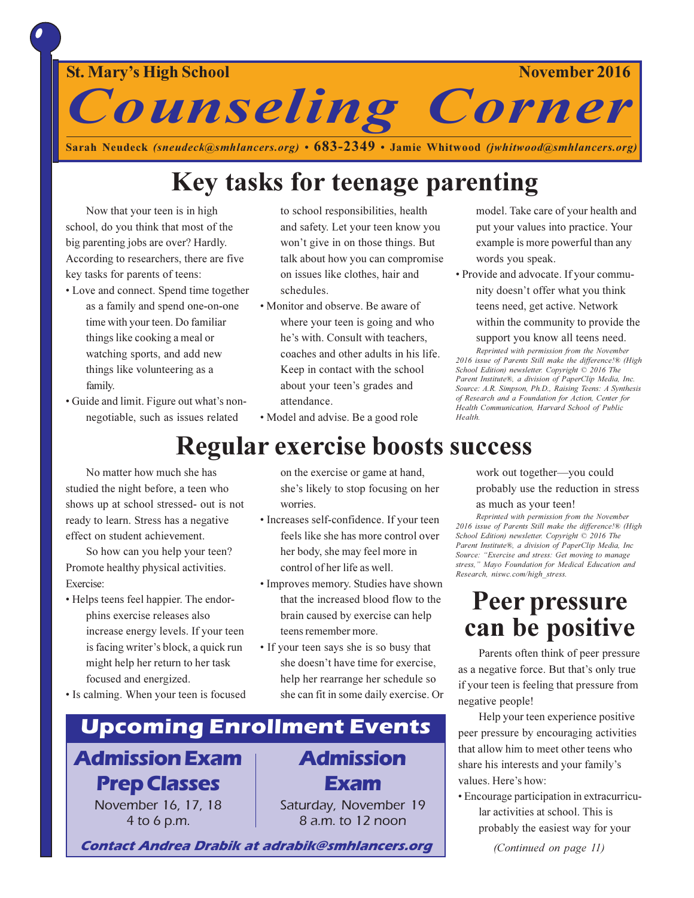**St. Mary's High School** 

November 2016

**Counseling Corner** 

Sarah Neudeck (sneudeck@smhlancers.org) •  $683-2349$  • Jamie Whitwood (jwhitwood@smhlancers.org)

# Key tasks for teenage parenting

Now that your teen is in high school, do you think that most of the big parenting jobs are over? Hardly. According to researchers, there are five key tasks for parents of teens:

- Love and connect. Spend time together as a family and spend one-on-one time with your teen. Do familiar things like cooking a meal or watching sports, and add new things like volunteering as a family.
- Guide and limit. Figure out what's nonnegotiable, such as issues related

to school responsibilities, health and safety. Let your teen know you won't give in on those things. But talk about how you can compromise on issues like clothes, hair and schedules.

- Monitor and observe. Be aware of where your teen is going and who he's with. Consult with teachers, coaches and other adults in his life. Keep in contact with the school about your teen's grades and attendance.
- · Model and advise. Be a good role

model. Take care of your health and put your values into practice. Your example is more powerful than any words you speak.

• Provide and advocate. If your community doesn't offer what you think teens need, get active. Network

within the community to provide the

support you know all teens need. Reprinted with permission from the November 2016 issue of Parents Still make the difference!® (High School Edition) newsletter. Copyright © 2016 The Parent Institute®, a division of PaperClip Media, Inc. Source: A.R. Simpson, Ph.D., Raising Teens: A Synthesis of Research and a Foundation for Action, Center for Health Communication, Harvard School of Public

**Regular exercise boosts success** No matter how much she has studied the night before, a teen who shows up at school stressed- out is not ready to learn. Stress has a negative

So how can you help your teen? Promote healthy physical activities. Exercise:

effect on student achievement.

• Helps teens feel happier. The endorphins exercise releases also increase energy levels. If your teen is facing writer's block, a quick run might help her return to her task focused and energized.

• Is calming. When your teen is focused

#### on the exercise or game at hand, she's likely to stop focusing on her worries.

- Increases self-confidence. If your teen feels like she has more control over her body, she may feel more in control of her life as well.
- Improves memory. Studies have shown that the increased blood flow to the brain caused by exercise can help teens remember more.
- If your teen says she is so busy that she doesn't have time for exercise, help her rearrange her schedule so she can fit in some daily exercise. Or

# **Upcoming Enrollment Events**

# **Admission Exam Prep Classes**

November 16, 17, 18 4 to 6 p.m.

**Admission** Exam

Saturday, November 19 8 a.m. to 12 noon

**Contact Andrea Drabik at adrabik@smhlancers.org** 

work out together-you could probably use the reduction in stress

#### as much as your teen!

Health

Reprinted with permission from the November 2016 issue of Parents Still make the difference!® (High School Edition) newsletter. Copyright © 2016 The Parent Institute®, a division of PaperClip Media, Inc Source: "Exercise and stress: Get moving to manage stress," Mayo Foundation for Medical Education and Research, niswc.com/high\_stress.

### Peer pressure can be positive

Parents often think of peer pressure as a negative force. But that's only true if your teen is feeling that pressure from negative people!

Help your teen experience positive peer pressure by encouraging activities that allow him to meet other teens who share his interests and your family's values. Here's how:

• Encourage participation in extracurricular activities at school. This is probably the easiest way for your

(Continued on page 11)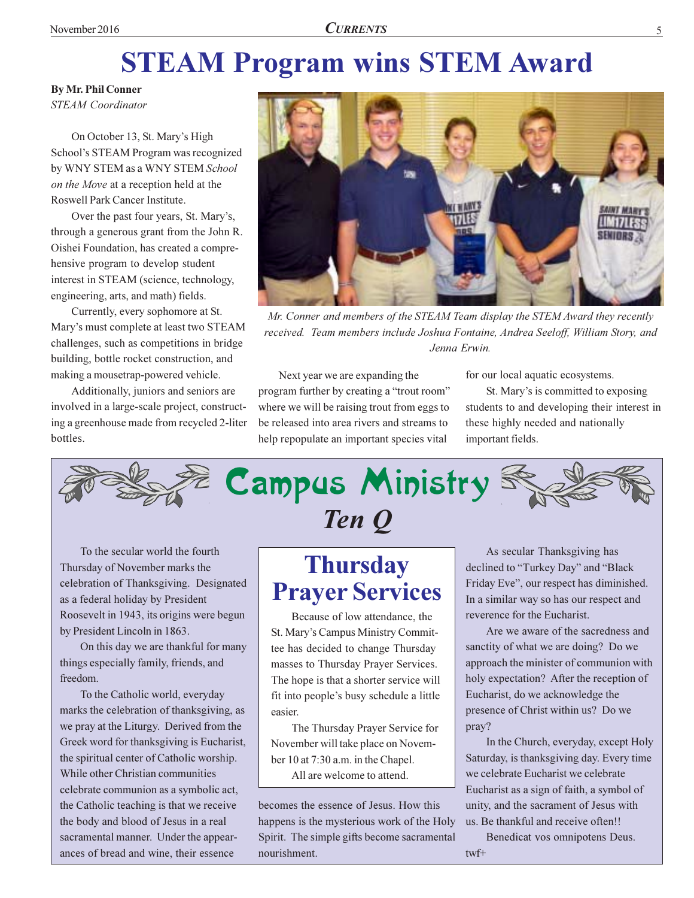# **STEAM Program wins STEM Award**

**By Mr. Phil Conner** 

**STEAM** Coordinator

On October 13, St. Mary's High School's STEAM Program was recognized by WNY STEM as a WNY STEM School on the Move at a reception held at the Roswell Park Cancer Institute.

Over the past four years, St. Mary's, through a generous grant from the John R. Oishei Foundation, has created a comprehensive program to develop student interest in STEAM (science, technology, engineering, arts, and math) fields.

Currently, every sophomore at St. Mary's must complete at least two STEAM challenges, such as competitions in bridge building, bottle rocket construction, and making a mousetrap-powered vehicle.

Additionally, juniors and seniors are involved in a large-scale project, constructing a greenhouse made from recycled 2-liter bottles.



Mr. Conner and members of the STEAM Team display the STEM Award they recently received. Team members include Joshua Fontaine, Andrea Seeloff, William Story, and Jenna Erwin.

Next year we are expanding the program further by creating a "trout room" where we will be raising trout from eggs to be released into area rivers and streams to help repopulate an important species vital

for our local aquatic ecosystems.

St. Mary's is committed to exposing students to and developing their interest in these highly needed and nationally important fields.



To the secular world the fourth Thursday of November marks the celebration of Thanksgiving. Designated as a federal holiday by President Roosevelt in 1943, its origins were begun by President Lincoln in 1863.

On this day we are thankful for many things especially family, friends, and freedom.

To the Catholic world, everyday marks the celebration of thanksgiving, as we pray at the Liturgy. Derived from the Greek word for thanksgiving is Eucharist, the spiritual center of Catholic worship. While other Christian communities celebrate communion as a symbolic act, the Catholic teaching is that we receive the body and blood of Jesus in a real sacramental manner. Under the appearances of bread and wine, their essence

### **Thursday Prayer Services**

Because of low attendance, the St. Mary's Campus Ministry Committee has decided to change Thursday masses to Thursday Prayer Services. The hope is that a shorter service will fit into people's busy schedule a little easier.

The Thursday Prayer Service for November will take place on November 10 at 7:30 a.m. in the Chapel. All are welcome to attend.

becomes the essence of Jesus. How this happens is the mysterious work of the Holy Spirit. The simple gifts become sacramental nourishment.

As secular Thanksgiving has declined to "Turkey Day" and "Black Friday Eve", our respect has diminished. In a similar way so has our respect and reverence for the Eucharist.

Are we aware of the sacredness and sanctity of what we are doing? Do we approach the minister of communion with holy expectation? After the reception of Eucharist, do we acknowledge the presence of Christ within us? Do we pray?

In the Church, everyday, except Holy Saturday, is thanksgiving day. Every time we celebrate Eucharist we celebrate Eucharist as a sign of faith, a symbol of unity, and the sacrament of Jesus with us. Be thankful and receive often!!

Benedicat vos omnipotens Deus.  $twf+$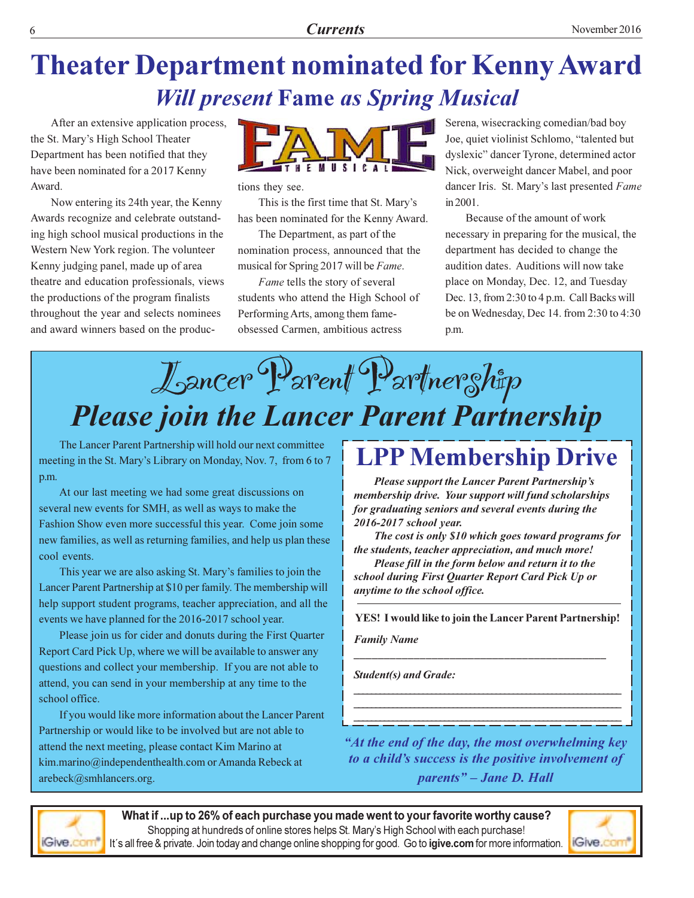# Theater Department nominated for Kenny Award **Will present Fame as Spring Musical**

After an extensive application process, the St. Mary's High School Theater Department has been notified that they have been nominated for a 2017 Kenny Award.

Now entering its 24th year, the Kenny Awards recognize and celebrate outstanding high school musical productions in the Western New York region. The volunteer Kenny judging panel, made up of area theatre and education professionals, views the productions of the program finalists throughout the year and selects nominees and award winners based on the produc-



tions they see.

This is the first time that St. Mary's has been nominated for the Kenny Award.

The Department, as part of the nomination process, announced that the musical for Spring 2017 will be Fame.

Fame tells the story of several students who attend the High School of Performing Arts, among them fameobsessed Carmen, ambitious actress

Serena, wisecracking comedian/bad boy Joe, quiet violinist Schlomo, "talented but dyslexic" dancer Tyrone, determined actor Nick, overweight dancer Mabel, and poor dancer Iris. St. Mary's last presented Fame in 2001.

Because of the amount of work necessary in preparing for the musical, the department has decided to change the audition dates. Auditions will now take place on Monday, Dec. 12, and Tuesday Dec. 13, from 2:30 to 4 p.m. Call Backs will be on Wednesday, Dec 14. from 2:30 to 4:30 p.m.

# J<sub>oancer</sub> D<sub>arent</sub> D<sub>artner</sub>ship **Please join the Lancer Parent Partnership**

The Lancer Parent Partnership will hold our next committee meeting in the St. Mary's Library on Monday, Nov. 7, from 6 to 7 p.m.

At our last meeting we had some great discussions on several new events for SMH, as well as ways to make the Fashion Show even more successful this year. Come join some new families, as well as returning families, and help us plan these cool events.

This year we are also asking St. Mary's families to join the Lancer Parent Partnership at \$10 per family. The membership will help support student programs, teacher appreciation, and all the events we have planned for the 2016-2017 school year.

Please join us for cider and donuts during the First Quarter Report Card Pick Up, where we will be available to answer any questions and collect your membership. If you are not able to attend, you can send in your membership at any time to the school office.

If you would like more information about the Lancer Parent Partnership or would like to be involved but are not able to attend the next meeting, please contact Kim Marino at kim.marino@independenthealth.com or Amanda Rebeck at arebeck@smhlancers.org.

### **LPP Membership Drive**

Please support the Lancer Parent Partnership's membership drive. Your support will fund scholarships for graduating seniors and several events during the 2016-2017 school year.

The cost is only \$10 which goes toward programs for the students, teacher appreciation, and much more!

Please fill in the form below and return it to the school during First Quarter Report Card Pick Up or anytime to the school office.

YES! I would like to join the Lancer Parent Partnership!

BBBBBBBBBBBBBBBBBBBBBBBBBBBBBBBBBBBBBBBBBB

BBBBBBBBBBBBBBBBBBBBBBBBBBBBBBBBBBBBBBBBBBBBBBBBBBBBBBBBBBBBBB BBBBBBBBBBBBBBBBBBBBBBBBBBBBBBBBBBBBBBBBBBBBBBBBBBBBBBBBBBBBBB BBBBBBBBBBBBBBBBBBBBBBBBBBBBBBBBBBBBBBBBBBBBBBBBBBBBBBBBBBBBBB

**Family Name** 

**Student(s) and Grade:** 

"At the end of the day, the most overwhelming key to a child's success is the positive involvement of parents" – Jane D. Hall



What if ...up to 26% of each purchase you made went to your favorite worthy cause? Shopping at hundreds of online stores helps St. Mary's High School with each purchase! It´s all free & private. Join today and change online shopping for good. Go to **igive.com** for more information.

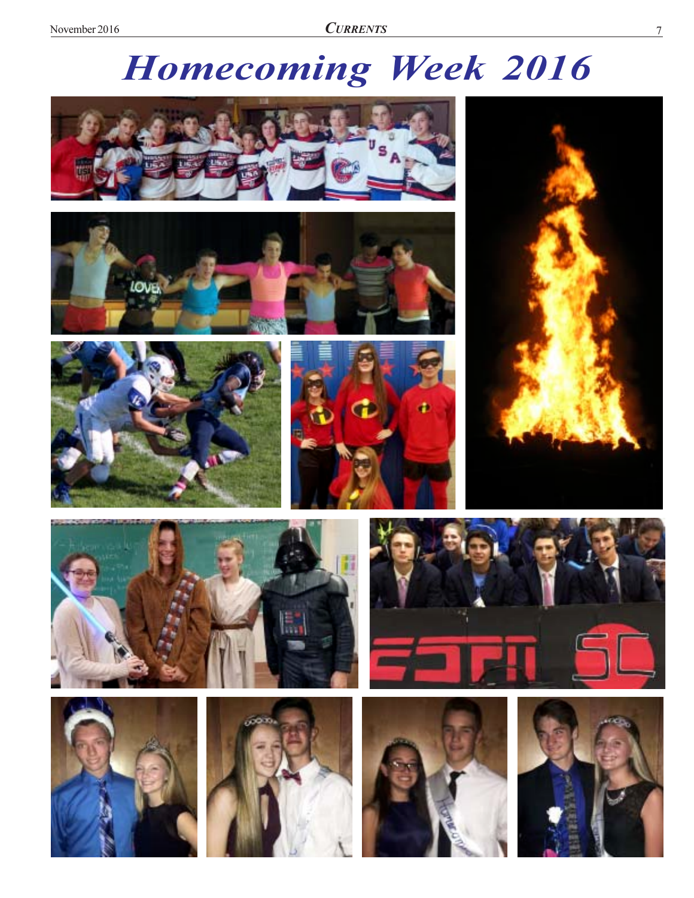# **Homecoming Week 2016**





















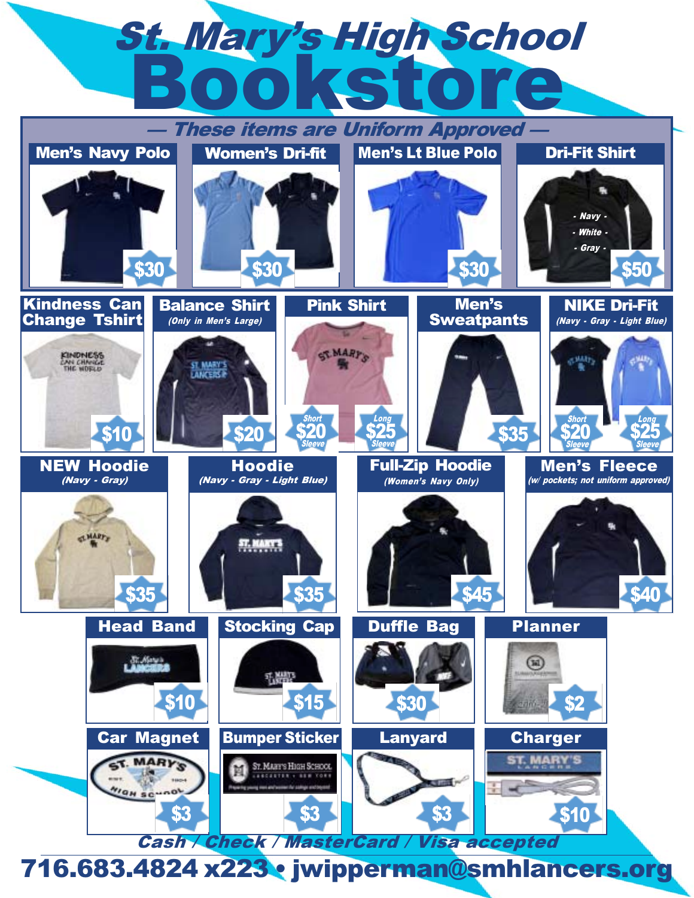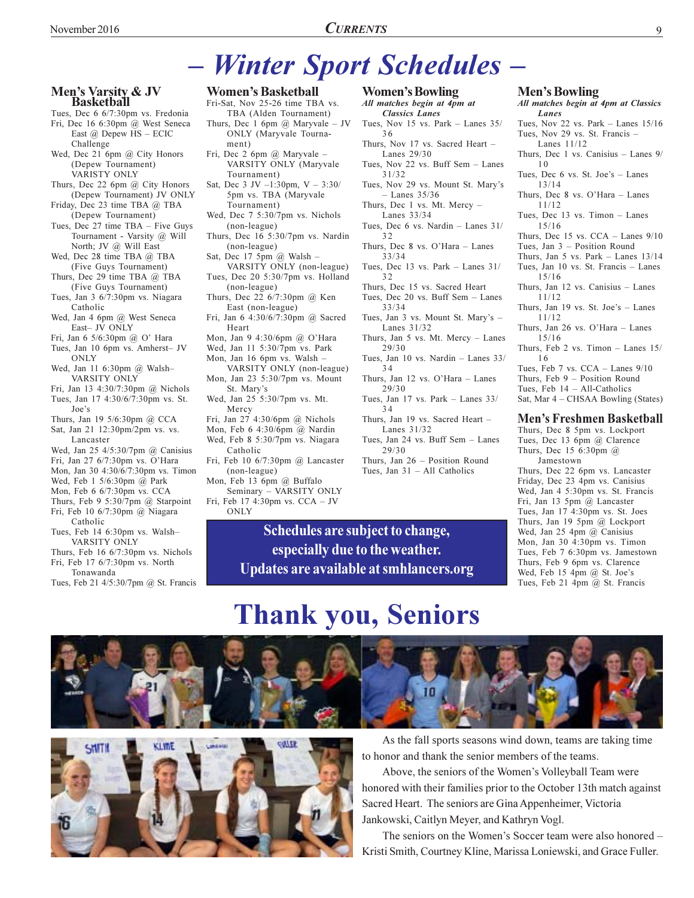# - Winter Sport Schedules -

#### Men's Varsity & JV **Basketball**

- Tues, Dec 6 6/7:30pm vs. Fredonia Fri, Dec 16 6:30pm @ West Seneca East  $\omega$  Depew HS - ECIC Challenge
- Wed, Dec 21 6pm @ City Honors (Depew Tournament) VARISTY ONLY
- Thurs, Dec 22 6pm @ City Honors (Depew Tournament) JV ONLY
- Friday, Dec 23 time TBA @ TBA (Depew Tournament)
- Tues, Dec 27 time TBA Five Guys Tournament - Varsity @ Will North; JV @ Will East
- Wed, Dec 28 time TBA @ TBA (Five Guys Tournament)
- Thurs, Dec 29 time TBA @ TBA (Five Guys Tournament)
- Tues, Jan 3 6/7:30pm vs. Niagara Catholic
- Wed, Jan 4 6pm @ West Seneca East- JV ONLY
- Fri, Jan 6 5/6:30pm @ O' Hara
- Tues, Jan 10 6pm vs. Amherst- JV ONLY
- Wed, Jan 11 6:30pm @ Walsh-VARSITY ONLY
- Fri, Jan 13 4:30/7:30pm @ Nichols Tues, Jan 17 4:30/6/7:30pm vs. St. Joe's
- Thurs, Jan 19 5/6:30pm @ CCA Sat, Jan 21 12:30pm/2pm vs. vs.
- Lancaster Wed, Jan 25 4/5:30/7pm @ Canisius
- Fri, Jan 27 6/7:30pm vs. O'Hara
- Mon, Jan 30 4:30/6/7:30pm vs. Timon
- Wed, Feb 1 5/6:30pm @ Park
- Mon, Feb 6 6/7:30pm vs. CCA
- Thurs, Feb 9 5:30/7pm  $@$  Starpoint Fri, Feb 10 6/7:30pm @ Niagara Catholic
- Tues, Feb 14 6:30pm vs. Walsh-VARSITY ONLY
- Thurs, Feb 16 6/7:30pm vs. Nichols Fri, Feb 17 6/7:30pm vs. North
- Tonawanda
- Tues, Feb 21 4/5:30/7pm @ St. Francis

KLWE

Londone

#### **Women's Basketball**

- Fri-Sat, Nov 25-26 time TBA vs. TBA (Alden Tournament)
- Thurs, Dec 1 6pm  $@$  Maryvale JV ONLY (Maryvale Tourna-
- ment) Fri, Dec 2 6pm @ Maryvale -VARSITY ONLY (Maryvale Tournament)
- Sat, Dec 3 JV  $-1:30$ pm, V  $-3:30/$ 5pm vs. TBA (Maryvale
- Tournament) Wed, Dec 7 5:30/7pm vs. Nichols (non-league)
- Thurs, Dec 16 5:30/7pm vs. Nardin (non-league)
- Sat, Dec 17 5pm @ Walsh -
- VARSITY ONLY (non-league) Tues, Dec 20 5:30/7pm vs. Holland (non-league)
- Thurs, Dec 22 6/7:30pm @ Ken East (non-league)
- Fri, Jan 6 4:30/6/7:30pm @ Sacred Heart
- Mon, Jan 9 4:30/6pm @ O'Hara
- Wed, Jan 11 5:30/7pm vs. Park Mon, Jan 16 6pm vs. Walsh
- VARSITY ONLY (non-league) Mon, Jan 23 5:30/7pm vs. Mount
- St. Mary's Wed, Jan 25 5:30/7pm vs. Mt.
- Mercy Fri, Jan 27 4:30/6pm @ Nichols
- Mon, Feb 6 4:30/6pm @ Nardin
- Wed, Feb 8 5:30/7pm vs. Niagara Catholic
- Fri, Feb 10 6/7:30pm @ Lancaster (non-league)
- Mon, Feb 13 6pm @ Buffalo
- Seminary VARSITY ONLY Fri, Feb 17 4:30pm vs. CCA - JV ONLY

COMER

- **Women's Bowling**
- All matches begin at 4pm at **Classics Lanes** Tues, Nov 15 vs. Park - Lanes  $35/$ 36 Thurs, Nov 17 vs. Sacred Heart -Lanes 29/30
- Tues, Nov 22 vs. Buff Sem Lanes  $31/32$
- Tues, Nov 29 vs. Mount St. Mary's  $-$  Lanes 35/36
- Thurs, Dec 1 vs. Mt. Mercy -Lanes 33/34
- Tues, Dec 6 vs. Nardin Lanes 31/  $32$
- Thurs, Dec 8 vs. O'Hara Lanes  $33/34$
- Tues, Dec 13 vs. Park Lanes  $31/$ 32
- Thurs, Dec 15 vs. Sacred Heart
- Tues, Dec 20 vs. Buff Sem Lanes  $33/34$
- Tues, Jan 3 vs. Mount St. Mary's -Lanes 31/32
- Thurs, Jan 5 vs. Mt. Mercy Lanes  $29/30$
- Tues, Jan 10 vs. Nardin Lanes 33/ 34
- Thurs, Jan 12 vs. O'Hara Lanes  $29/30$
- Tues, Jan 17 vs. Park Lanes 33/ 34
- Thurs, Jan 19 vs. Sacred Heart -Lanes 31/32
- Tues, Jan 24 vs. Buff Sem Lanes  $29/30$
- Thurs, Jan 26 Position Round Tues. Jan  $31 - All$  Catholics

#### **Men's Bowling**

- All matches begin at 4pm at Classics Lanes Tues, Nov 22 vs. Park - Lanes  $15/16$ Tues, Nov 29 vs. St. Francis -
- Lanes 11/12
- Thurs, Dec 1 vs. Canisius Lanes 9/ 10
- Tues, Dec 6 vs. St. Joe's Lanes  $13/14$
- Thurs, Dec 8 vs. O'Hara Lanes  $11/12$
- Tues, Dec 13 vs. Timon Lanes  $15/16$
- Thurs, Dec 15 vs.  $CCA$  Lanes  $9/10$
- Tues, Jan 3 Position Round
- Thurs, Jan 5 vs. Park Lanes  $13/14$ Tues, Jan 10 vs. St. Francis - Lanes  $15/16$
- Thurs, Jan 12 vs. Canisius Lanes  $11/12$
- Thurs, Jan 19 vs. St. Joe's Lanes  $11/12$
- Thurs. Jan 26 vs. O'Hara Lanes  $15/16$
- Thurs, Feb 2 vs. Timon  $-$  Lanes 15/ 16
- Tues, Feb 7 vs.  $CCA$  Lanes  $9/10$
- Thurs, Feb 9 Position Round
- Tues, Feb  $14 All-Catholics$ Sat, Mar 4 - CHSAA Bowling (States)
- **Men's Freshmen Basketball**

#### Thurs, Dec 8 5pm vs. Lockport Tues, Dec 13 6pm @ Clarence Thurs, Dec 15 6:30pm  $(a)$ Jamestown Thurs, Dec 22 6pm vs. Lancaster Friday, Dec 23 4pm vs. Canisius Wed, Jan 4 5:30pm vs. St. Francis Fri, Jan 13 5pm @ Lancaster Tues, Jan 17 4:30pm vs. St. Joes Thurs, Jan 19 5pm @ Lockport Wed, Jan 25 4pm @ Canisius Mon, Jan 30 4:30pm vs. Timon Tues, Feb 7 6:30pm vs. Jamestown Thurs, Feb 9 6pm vs. Clarence

Wed, Feb 15 4pm @ St. Joe's

Tues, Feb 21 4pm @ St. Francis

Updates are available at smhlancers.org

Schedules are subject to change,

especially due to the weather.

# **Thank you, Seniors**



As the fall sports seasons wind down, teams are taking time to honor and thank the senior members of the teams.

Above, the seniors of the Women's Volleyball Team were honored with their families prior to the October 13th match against Sacred Heart. The seniors are Gina Appenheimer, Victoria Jankowski, Caitlyn Meyer, and Kathryn Vogl.

The seniors on the Women's Soccer team were also honored -Kristi Smith, Courtney Kline, Marissa Loniewski, and Grace Fuller.

9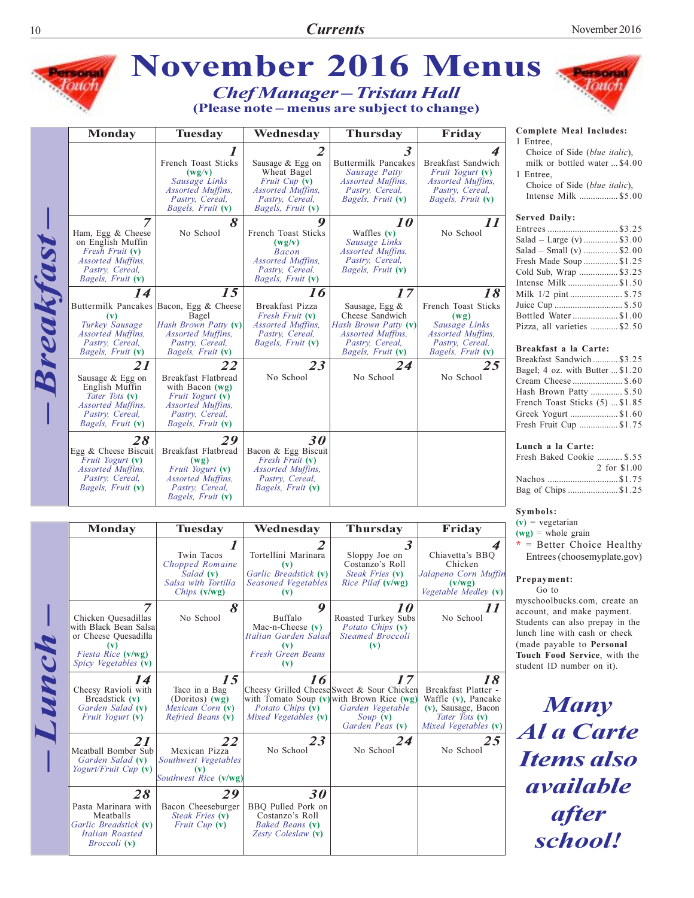| $\mathbf{3}$<br>4<br>Choice of Side (blue italic),<br>French Toast Sticks<br><b>Buttermilk Pancakes</b><br>Breakfast Sandwich<br>Sausage & Egg on<br>milk or bottled water  \$4.00<br>Wheat Bagel<br>(wg/v)<br>Sausage Patty<br>Fruit Yogurt (v)<br>1 Entree,<br>Sausage Links<br>Fruit Cup (v)<br><b>Assorted Muffins.</b><br>Assorted Muffins,<br>Choice of Side (blue italic),<br><i>Assorted Muffins,</i><br><i>Assorted Muffins,</i><br>Pastry, Cereal,<br>Pastry, Cereal,<br>Intense Milk \$5.00<br>Pastry, Cereal,<br>Pastry, Cereal,<br>Bagels, Fruit (v)<br><i>Bagels, Fruit</i> (v)<br>Bagels, Fruit (v)<br>Bagels, Fruit (v)<br><b>Served Daily:</b><br>$\overline{7}$<br>8<br>9<br>$\boldsymbol{\mathit{11}}$<br>10<br>No School<br>Ham, Egg & Cheese<br>No School<br>French Toast Sticks<br>Waffles $(v)$<br>Salad – Large (v)  \$3.00<br>on English Muffin<br>(wg/v)<br>Sausage Links<br>Salad – Small (v)  \$2.00<br>Assorted Muffins,<br>Fresh Fruit (v)<br><b>Bacon</b><br>Assorted Muffins,<br>Assorted Muffins,<br>Pastry, Cereal,<br>Fresh Made Soup \$1.25<br>Pastry, Cereal,<br>Pastry, Cereal,<br>Bagels, Fruit (v)<br>Cold Sub, Wrap \$3.25<br>Bagels, Fruit (v)<br>Bagels, Fruit (v)<br>Intense Milk \$1.50<br>15<br>17<br>18<br>16<br>14<br>Milk 1/2 pint  \$.75<br>Juice Cup  \$.50<br>Buttermilk Pancakes Bacon, Egg & Cheese<br>French Toast Sticks<br>Breakfast Pizza<br>Sausage, Egg $\&$<br>Cheese Sandwich<br>Bottled Water\$1.00<br>Bagel<br>Fresh Fruit (v)<br>(wg)<br>(v)<br>Turkey Sausage<br>Hash Brown Patty (v)<br>Hash Brown Patty (v)<br><i>Assorted Muffins,</i><br>Sausage Links<br>Pizza, all varieties \$2.50<br>Assorted Muffins,<br>Assorted Muffins,<br>Pastry, Cereal,<br>Assorted Muffins,<br>Assorted Muffins,<br>Pastry, Cereal,<br>Bagels, Fruit (v)<br>Pastry, Cereal,<br>Pastry, Cereal,<br>Pastry, Cereal,<br>Breakfast a la Carte:<br>Bagels, Fruit (v)<br>Bagels, Fruit (v)<br>Bagels, Fruit (v)<br>Bagels, Fruit (v)<br>Breakfast Sandwich  \$3.25<br>$\overline{25}$<br>22<br>23<br>21<br>24<br>Bagel; 4 oz. with Butter  \$1.20<br>No School<br>No School<br>No School<br>Breakfast Flatbread<br>Sausage & Egg on<br>Cream Cheese  \$.60<br>English Muffin<br>with Bacon $(wg)$<br>Hash Brown Patty  \$.50<br>Tater Tots (v)<br>Fruit Yogurt (v)<br>French Toast Sticks (5)  \$1.85<br>Assorted Muffins,<br>Assorted Muffins,<br>Greek Yogurt \$1.60<br>Pastry, Cereal,<br>Pastry, Cereal,<br>Bagels, Fruit (v)<br>Bagels, Fruit (v)<br>Fresh Fruit Cup \$1.75<br>30<br>28<br>29<br>Lunch a la Carte:<br>Breakfast Flatbread<br>Bacon & Egg Biscuit<br>Fresh Baked Cookie  \$.55<br>Fruit Yogurt (v)<br>Fresh Fruit (v)<br>(wg)<br>Assorted Muffins,<br>Fruit Yogurt (v)<br><i>Assorted Muffins,</i><br>Nachos \$1.75<br>Pastry, Cereal,<br>Assorted Muffins,<br>Pastry, Cereal,<br>Bagels, Fruit (v)<br>Pastry, Cereal,<br>Bagels, Fruit (v)<br>Bag of Chips \$1.25<br>Bagels, Fruit (v) | Symbols:<br>$(v)$ = vegetarian<br><b>Monday</b><br><b>Tuesday</b><br>Wednesday<br><b>Thursday</b><br>Friday<br>$(wg)$ = whole grain<br>$\overline{\mathbf{3}}$<br>$*$ = Better Choice Healthy<br>1<br>4<br>Tortellini Marinara<br>Sloppy Joe on<br>Chiavetta's BBQ<br>Twin Tacos<br>Entrees (choosemyplate.gov)<br>Chopped Romaine<br>Costanzo's Roll<br>Chicken<br>(v)<br>Garlic Breadstick (v)<br>Steak Fries (v)<br>Jalapeno Corn Muffin<br>Salad (v)<br>Prepayment: |              |
|---------------------------------------------------------------------------------------------------------------------------------------------------------------------------------------------------------------------------------------------------------------------------------------------------------------------------------------------------------------------------------------------------------------------------------------------------------------------------------------------------------------------------------------------------------------------------------------------------------------------------------------------------------------------------------------------------------------------------------------------------------------------------------------------------------------------------------------------------------------------------------------------------------------------------------------------------------------------------------------------------------------------------------------------------------------------------------------------------------------------------------------------------------------------------------------------------------------------------------------------------------------------------------------------------------------------------------------------------------------------------------------------------------------------------------------------------------------------------------------------------------------------------------------------------------------------------------------------------------------------------------------------------------------------------------------------------------------------------------------------------------------------------------------------------------------------------------------------------------------------------------------------------------------------------------------------------------------------------------------------------------------------------------------------------------------------------------------------------------------------------------------------------------------------------------------------------------------------------------------------------------------------------------------------------------------------------------------------------------------------------------------------------------------------------------------------------------------------------------------------------------------------------------------------------------------------------------------------------------------------------------------------------------------------------------------------------------------------------------------------------------------------------------------------------------------------------------------------------------------------------------------------------------------------------------------------------------|-------------------------------------------------------------------------------------------------------------------------------------------------------------------------------------------------------------------------------------------------------------------------------------------------------------------------------------------------------------------------------------------------------------------------------------------------------------------------|--------------|
|                                                                                                                                                                                                                                                                                                                                                                                                                                                                                                                                                                                                                                                                                                                                                                                                                                                                                                                                                                                                                                                                                                                                                                                                                                                                                                                                                                                                                                                                                                                                                                                                                                                                                                                                                                                                                                                                                                                                                                                                                                                                                                                                                                                                                                                                                                                                                                                                                                                                                                                                                                                                                                                                                                                                                                                                                                                                                                                                                         |                                                                                                                                                                                                                                                                                                                                                                                                                                                                         |              |
|                                                                                                                                                                                                                                                                                                                                                                                                                                                                                                                                                                                                                                                                                                                                                                                                                                                                                                                                                                                                                                                                                                                                                                                                                                                                                                                                                                                                                                                                                                                                                                                                                                                                                                                                                                                                                                                                                                                                                                                                                                                                                                                                                                                                                                                                                                                                                                                                                                                                                                                                                                                                                                                                                                                                                                                                                                                                                                                                                         |                                                                                                                                                                                                                                                                                                                                                                                                                                                                         |              |
| Egg & Cheese Biscuit                                                                                                                                                                                                                                                                                                                                                                                                                                                                                                                                                                                                                                                                                                                                                                                                                                                                                                                                                                                                                                                                                                                                                                                                                                                                                                                                                                                                                                                                                                                                                                                                                                                                                                                                                                                                                                                                                                                                                                                                                                                                                                                                                                                                                                                                                                                                                                                                                                                                                                                                                                                                                                                                                                                                                                                                                                                                                                                                    |                                                                                                                                                                                                                                                                                                                                                                                                                                                                         |              |
|                                                                                                                                                                                                                                                                                                                                                                                                                                                                                                                                                                                                                                                                                                                                                                                                                                                                                                                                                                                                                                                                                                                                                                                                                                                                                                                                                                                                                                                                                                                                                                                                                                                                                                                                                                                                                                                                                                                                                                                                                                                                                                                                                                                                                                                                                                                                                                                                                                                                                                                                                                                                                                                                                                                                                                                                                                                                                                                                                         |                                                                                                                                                                                                                                                                                                                                                                                                                                                                         |              |
|                                                                                                                                                                                                                                                                                                                                                                                                                                                                                                                                                                                                                                                                                                                                                                                                                                                                                                                                                                                                                                                                                                                                                                                                                                                                                                                                                                                                                                                                                                                                                                                                                                                                                                                                                                                                                                                                                                                                                                                                                                                                                                                                                                                                                                                                                                                                                                                                                                                                                                                                                                                                                                                                                                                                                                                                                                                                                                                                                         |                                                                                                                                                                                                                                                                                                                                                                                                                                                                         | 2 for \$1.00 |
|                                                                                                                                                                                                                                                                                                                                                                                                                                                                                                                                                                                                                                                                                                                                                                                                                                                                                                                                                                                                                                                                                                                                                                                                                                                                                                                                                                                                                                                                                                                                                                                                                                                                                                                                                                                                                                                                                                                                                                                                                                                                                                                                                                                                                                                                                                                                                                                                                                                                                                                                                                                                                                                                                                                                                                                                                                                                                                                                                         |                                                                                                                                                                                                                                                                                                                                                                                                                                                                         |              |

account, and make payment. Students can also prepay in the lunch line with cash or check (made payable to Personal Touch Food Service, with the student ID number on it).

**Many**<br>**Al a Carte Items** also available after<br>school!

|       | <i>Bagels, Fruit</i> (V)                                                                                                       | Pastry, Cereal,<br>Bagels, Fruit (v)                                                | <i>Bagels, Fruit</i> (v)                                                                      |                                                                                                                                                        |                                                                                                                      |
|-------|--------------------------------------------------------------------------------------------------------------------------------|-------------------------------------------------------------------------------------|-----------------------------------------------------------------------------------------------|--------------------------------------------------------------------------------------------------------------------------------------------------------|----------------------------------------------------------------------------------------------------------------------|
|       |                                                                                                                                |                                                                                     |                                                                                               |                                                                                                                                                        |                                                                                                                      |
|       | <b>Monday</b>                                                                                                                  | <b>Tuesday</b>                                                                      | Wednesday                                                                                     | <b>Thursday</b>                                                                                                                                        | Friday                                                                                                               |
|       |                                                                                                                                | Twin Tacos<br>Chopped Romaine<br>Salad (v)<br>Salsa with Tortilla<br>Chips $(v/wg)$ | Tortellini Marinara<br>(v)<br>Garlic Breadstick (v)<br>Seasoned Vegetables<br>(v)             | $\boldsymbol{\beta}$<br>Sloppy Joe on<br>Costanzo's Roll<br>Steak Fries (v)<br>Rice Pilaf (v/wg)                                                       | Chiavetta's BBO<br>Chicken<br>Jalapeno Corn Muffi<br>(v/wg)<br>Vegetable Medley (v)                                  |
| Lunch | 7<br>Chicken Quesadillas<br>with Black Bean Salsa<br>or Cheese Quesadilla<br>(v)<br>Fiesta Rice (v/wg)<br>Spicy Vegetables (v) | 8<br>No School                                                                      | 9<br>Buffalo<br>Mac-n-Cheese $(v)$<br>Italian Garden Salad<br>(v)<br>Fresh Green Beans<br>(v) | <i>10</i><br>Roasted Turkey Subs<br>Potato Chips (v)<br><b>Steamed Broccoli</b><br>(v)                                                                 | $\boldsymbol{\mathit{II}}$<br>No School                                                                              |
|       | 14<br>Cheesy Ravioli with<br>Breadstick (v)<br>Garden Salad (v)<br>Fruit Yogurt (v)                                            | 15<br>Taco in a Bag<br>(Doritos) $(wg)$<br>Mexican Corn (v)<br>Refried Beans (v)    | 16<br>Potato Chips (v)<br>Mixed Vegetables (v)                                                | 17<br>Cheesy Grilled Cheese Sweet & Sour Chicken<br>with Tomato Soup $(v)$ with Brown Rice $(wg)$<br>Garden Vegetable<br>$Soup$ (v)<br>Garden Peas (v) | 18<br>Breakfast Platter -<br>Waffle $(v)$ , Pancake<br>(v), Sausage, Bacon<br>Tater Tots (v)<br>Mixed Vegetables (v) |
|       | 21<br>Meatball Bomber Sub<br>Garden Salad (v)<br><i>Yogurt/Fruit Cup</i> $(v)$                                                 | 22<br>Mexican Pizza<br>Southwest Vegetables<br>(v)<br>Southwest Rice (v/wg)         | 23<br>No School                                                                               | 24<br>No School                                                                                                                                        | 25<br>No School                                                                                                      |
|       | 28<br>Pasta Marinara with<br>Meatballs<br>Garlic Breadstick (v)<br>Italian Roasted<br>Broccoli (v)                             | 29<br>Bacon Cheeseburger<br>Steak Fries (v)<br><i>Fruit Cup</i> $(v)$               | 30<br>BBQ Pulled Pork on<br>Costanzo's Roll<br><b>Baked Beans (v)</b><br>Zesty Coleslaw (v)   |                                                                                                                                                        |                                                                                                                      |

ς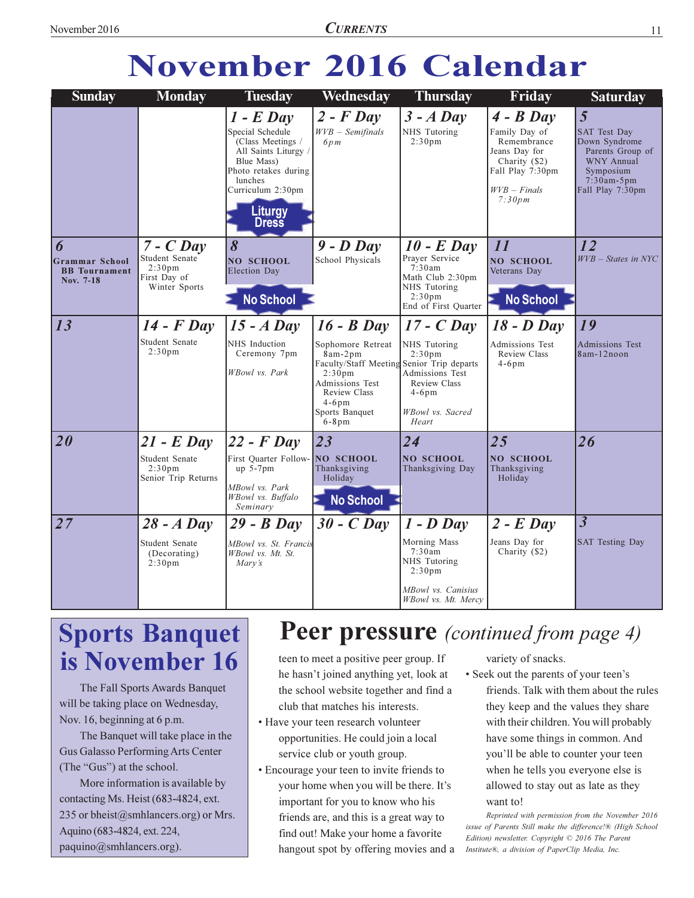# **November 2016 Calendar**

| <b>Sunday</b>                                                   | <b>Monday</b>                                                                        | <b>Tuesday</b>                                                                                                                                                                | Wednesday                                                                                                                                                                                           | <b>Thursday</b>                                                                                                                       | Friday                                                                                                                        | <b>Saturday</b>                                                                                                              |
|-----------------------------------------------------------------|--------------------------------------------------------------------------------------|-------------------------------------------------------------------------------------------------------------------------------------------------------------------------------|-----------------------------------------------------------------------------------------------------------------------------------------------------------------------------------------------------|---------------------------------------------------------------------------------------------------------------------------------------|-------------------------------------------------------------------------------------------------------------------------------|------------------------------------------------------------------------------------------------------------------------------|
|                                                                 |                                                                                      | $1 - E$ Day<br>Special Schedule<br>(Class Meetings /<br>All Saints Liturgy /<br>Blue Mass)<br>Photo retakes during<br>lunches<br>Curriculum 2:30pm<br>Liturgy<br><b>Dress</b> | $2$ - $F$ Day<br>$WVB - Semifinals$<br>6pm                                                                                                                                                          | $3 - A$ Day<br>NHS Tutoring<br>2:30 <sub>pm</sub>                                                                                     | $4 - B$ Day<br>Family Day of<br>Remembrance<br>Jeans Day for<br>Charity (\$2)<br>Fall Play 7:30pm<br>$WVB - Finals$<br>7:30pm | 5<br>SAT Test Day<br>Down Syndrome<br>Parents Group of<br><b>WNY Annual</b><br>Symposium<br>$7:30am-5pm$<br>Fall Play 7:30pm |
| 6<br><b>Grammar School</b><br><b>BB</b> Tournament<br>Nov. 7-18 | $7 - C$ Day<br>Student Senate<br>2:30 <sub>pm</sub><br>First Day of<br>Winter Sports | $\boldsymbol{\delta}$<br><b>NO SCHOOL</b><br><b>Election Day</b><br><b>No School</b>                                                                                          | $9 - D$ Day<br>School Physicals                                                                                                                                                                     | $10$ - E Day<br>Prayer Service<br>7:30am<br>Math Club 2:30pm<br>NHS Tutoring<br>2:30 <sub>pm</sub><br>End of First Quarter            | 11<br><b>NO SCHOOL</b><br>Veterans Day<br><b>No School</b>                                                                    | 12<br>WVB - States in NYC                                                                                                    |
| 13                                                              | $14$ - $F$ Day<br>Student Senate<br>2:30 <sub>pm</sub>                               | $15 - A$ Day<br>NHS Induction<br>Ceremony 7pm<br>WBowl vs. Park                                                                                                               | $16 - B$ Day<br>Sophomore Retreat<br>8am-2pm<br>Faculty/Staff Meeting Senior Trip departs<br>2:30 <sub>pm</sub><br>Admissions Test<br><b>Review Class</b><br>$4-6$ pm<br>Sports Banquet<br>$6-8$ pm | $17 - C$ Day<br>NHS Tutoring<br>2:30 <sub>pm</sub><br>Admissions Test<br><b>Review Class</b><br>$4-6$ pm<br>WBowl vs. Sacred<br>Heart | $18$ - $D$ Day<br>Admissions Test<br><b>Review Class</b><br>$4-6$ pm                                                          | 19<br><b>Admissions Test</b><br>8am-12noon                                                                                   |
| <i>20</i>                                                       | $21$ - E Day<br>Student Senate<br>2:30 <sub>pm</sub><br>Senior Trip Returns          | $ 22 - F$ Day<br>First Ouarter Follow-<br>$up$ 5-7 $pm$<br>MBowl vs. Park<br>WBowl vs. Buffalo<br>Seminary                                                                    | 23<br>NO SCHOOL<br>Thanksgiving<br>Holiday<br><b>No School</b>                                                                                                                                      | 24<br><b>NO SCHOOL</b><br>Thanksgiving Day                                                                                            | 25<br><b>NO SCHOOL</b><br>Thanksgiving<br>Holiday                                                                             | 26                                                                                                                           |
| 27                                                              | $28 - A$ Day<br>Student Senate<br>(Decorating)<br>2:30 <sub>pm</sub>                 | $29 - B$ Day<br>MBowl vs. St. Francis<br>WBowl vs. Mt. St.<br>Mary's                                                                                                          | $30 - C$ Day                                                                                                                                                                                        | $1 - D$ Day<br>Morning Mass<br>7:30am<br>NHS Tutoring<br>2:30 <sub>pm</sub><br>MBowl vs. Canisius<br>WBowl vs. Mt. Mercy              | $2$ - E Day<br>Jeans Day for<br>Charity (\$2)                                                                                 | $\overline{3}$<br><b>SAT Testing Day</b>                                                                                     |

# **Sports Banquet** is November 16

The Fall Sports Awards Banquet will be taking place on Wednesday, Nov. 16, beginning at 6 p.m.

The Banquet will take place in the Gus Galasso Performing Arts Center (The "Gus") at the school.

More information is available by contacting Ms. Heist (683-4824, ext. 235 or bheist@smhlancers.org) or Mrs. Aquino (683-4824, ext. 224, paquino@smhlancers.org).

### **Peer pressure** (continued from page 4)

teen to meet a positive peer group. If he hasn't joined anything yet, look at the school website together and find a club that matches his interests.

- · Have your teen research volunteer opportunities. He could join a local service club or youth group.
- Encourage your teen to invite friends to your home when you will be there. It's important for you to know who his friends are, and this is a great way to find out! Make your home a favorite hangout spot by offering movies and a

variety of snacks.

• Seek out the parents of your teen's friends. Talk with them about the rules they keep and the values they share with their children. You will probably have some things in common. And you'll be able to counter your teen when he tells you everyone else is allowed to stay out as late as they want to!

Reprinted with permission from the November 2016 issue of Parents Still make the difference!® (High School Edition) newsletter. Copyright © 2016 The Parent Institute®, a division of PaperClip Media, Inc.